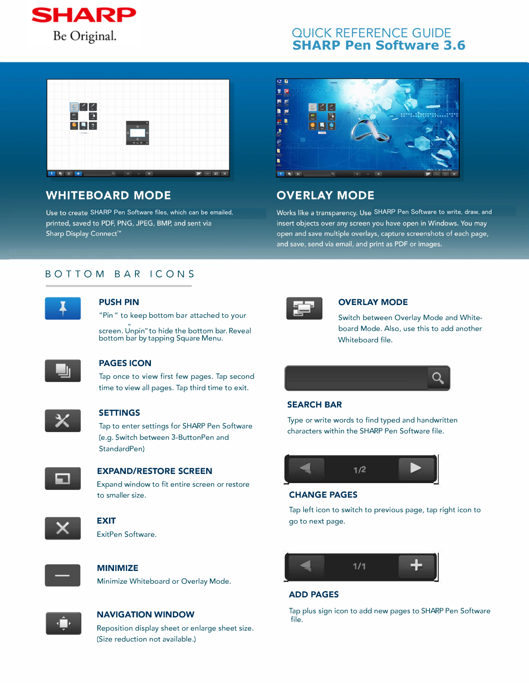

# QUICK REFERENCE GUIDE **SHARP Pen Software 3.6**



# **WHITEBOARD MODE**

printed, saved to PDF, PNG, JPEG, BMP, and sent via Sharp Display Connect<sup>™</sup>



# **OVERLAY MODE**

Use to create SHARP Pen Software files, which can be emailed, Morks like a transparency. Use SHARP Pen Software to write, draw, and insert objects over any screen you have open in Windows. You may open and save multiple overlays, capture screenshots of each page, and save, send via email, and print as PDF or images.

# BOTTOM BAR ICONS



#### **PUSH PIN**

"Pin" to keep bottom bar attached to your

" screen. Unpin" to hide the bottom bar. Reveal bottom bar by tapping Square Menu.



## **PAGES ICON**

Tap once to view first few pages. Tap second time to view all pages. Tap third time to exit.



#### **SETTINGS**

Tap to enter settings for SHARP Pen Software (e.g. Switch between 3-Button Pen and Standard Pen)



#### **EXPAND/RESTORE SCREEN**

Expand window to fit entire screen or restore to smaller size.



#### **EXIT** ExitPen Software.



# **MINIMIZE**

Minimize Whiteboard or Overlay Mode.



#### **NAVIGATION WINDOW**

Reposition display sheet or enlarge sheet size. (Size reduction not available.)



#### **OVERLAY MODE**

Switch between Overlay Mode and Whiteboard Mode. Also, use this to add another Whiteboard file.



## **SEARCH BAR**

Type or write words to find typed and handwritten characters within the SHARP Pen Software file.



#### **CHANGE PAGES**

Tap left icon to switch to previous page, tap right icon to go to next page.



## **ADD PAGES**

Tap plus sign icon to add new pages to SHARP Pen Software file.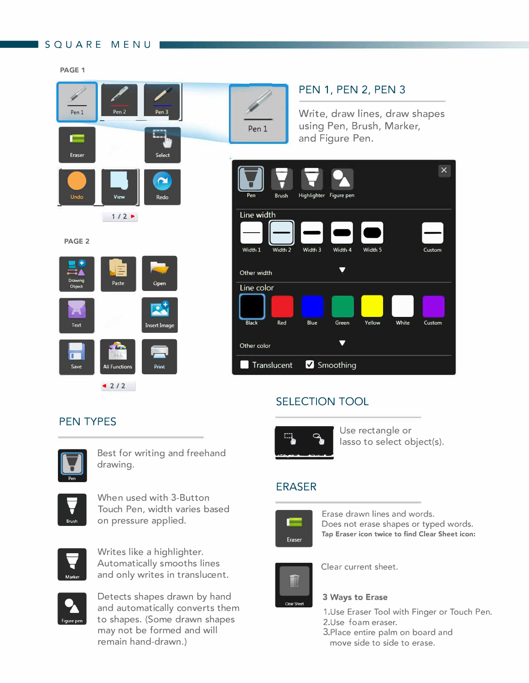# SQUARE MENUI

**PAGE 1** 





# and Figure Pen.<br> **A** 司 Brush Highlighter Figure pen **1/2 · Contract 2 Security 2 Figure 2 Security 2 Figure 2 Figure 2 Security 2 Figure 2 Figure 2 Figure 2 Figure 3 Figure 3 Figure 3 Figure 3 Figure 3 Figure 3 Figure 3 Figure 3 Figure 3 Figure 3 Figure 3 Figure 3 Figure 3** PAGE 2 **Details** Width **1**  園 Width <sup>2</sup> Midth. 2 Midth. A Midth 5 Width 3 Width 4 Width 5 ー Custom Other width **Other width Other width Line color** Drawing<br>Drawing<br>Text Tree Depends open<br>Text Insert Image Black Red Blue Green Yellow White Cus Black Red Blue Green Yellow White Custom Other color  $\blacksquare$ Translucent **V** Smoothing

PEN 1, PEN 2, PEN 3

and Figure Pen.

Write, draw lines, draw shapes using Pen, Brush, Marker,

# SELECTION TOOL



lasso to select object(s).

# ERASER

Pen 1



Erase drawn lines and words. Does not erase shapes or typed words. Tap Eraser icon twice to find Clear Sheet icon:



Clear current sheet.

# 3 Ways to Erase

- 1.Use Eraser Tool with Finger or Touch Pen.
- 2.Use foam eraser.
- 3.Place entire palm on board and move side to side to erase.

# PEN TYPES



Best for writing and freehand drawing.



When used with 3-Button Touch Pen, width varies based on pressure applied.



Writes like a highlighter. Automatically smooths lines and only writes in translucent.



Detects shapes drawn by hand and automatically converts them to shapes. (Some drawn shapes may not be formed and will remain hand-drawn.)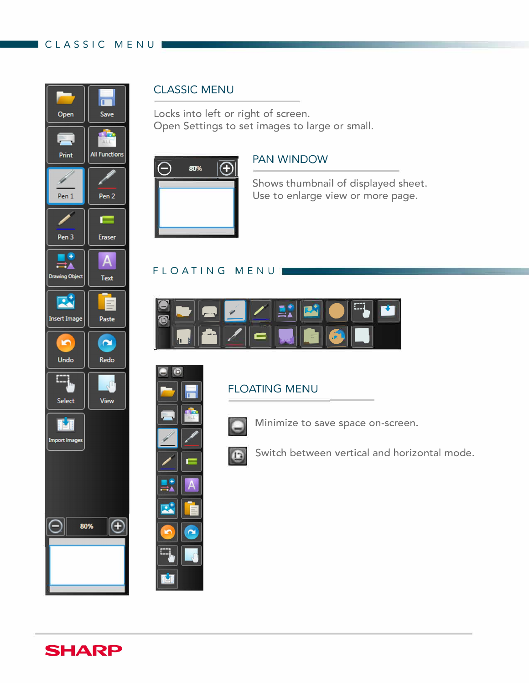# CLASSIC MENUI

٦



# **CLASSIC MENU**

Locks into left or right of screen. Open Settings to set images to large or small.



 $\Box$ 

 $\blacksquare$ 

 $\overline{A}$ 

 $\tilde{\phantom{a}}$ 

 $\mathbb{H}^4$ 

M

# **PAN WINDOW**

Shows thumbnail of displayed sheet. Use to enlarge view or more page.

# FLOATING MENUI



# **FLOATING MENU**



 $\mathbf{r}$ 

Minimize to save space on-screen.

Switch between vertical and horizontal mode.